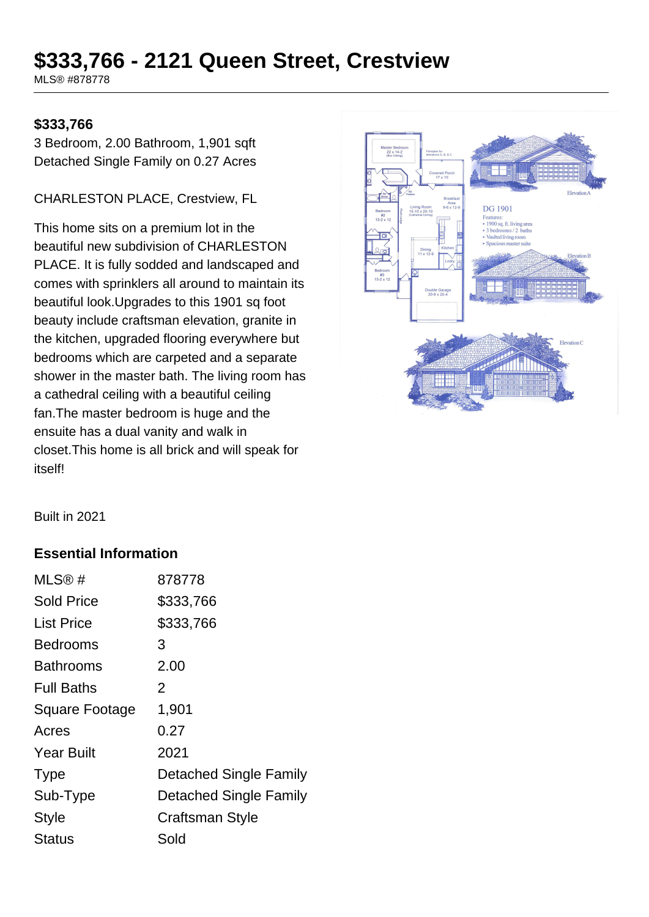# **\$333,766 - 2121 Queen Street, Crestview**

MLS® #878778

#### **\$333,766**

3 Bedroom, 2.00 Bathroom, 1,901 sqft Detached Single Family on 0.27 Acres

#### CHARLESTON PLACE, Crestview, FL

This home sits on a premium lot in the beautiful new subdivision of CHARLESTON PLACE. It is fully sodded and landscaped and comes with sprinklers all around to maintain its beautiful look.Upgrades to this 1901 sq foot beauty include craftsman elevation, granite in the kitchen, upgraded flooring everywhere but bedrooms which are carpeted and a separate shower in the master bath. The living room has a cathedral ceiling with a beautiful ceiling fan.The master bedroom is huge and the ensuite has a dual vanity and walk in closet.This home is all brick and will speak for itself!



Built in 2021

#### **Essential Information**

| MLS@#                 | 878778                        |
|-----------------------|-------------------------------|
| <b>Sold Price</b>     | \$333,766                     |
| <b>List Price</b>     | \$333,766                     |
| Bedrooms              | 3                             |
| Bathrooms             | 2.00                          |
| <b>Full Baths</b>     | 2                             |
| <b>Square Footage</b> | 1,901                         |
| Acres                 | 0.27                          |
| <b>Year Built</b>     | 2021                          |
| <b>Type</b>           | <b>Detached Single Family</b> |
| Sub-Type              | Detached Single Family        |
| <b>Style</b>          | <b>Craftsman Style</b>        |
| Status                | Sold                          |
|                       |                               |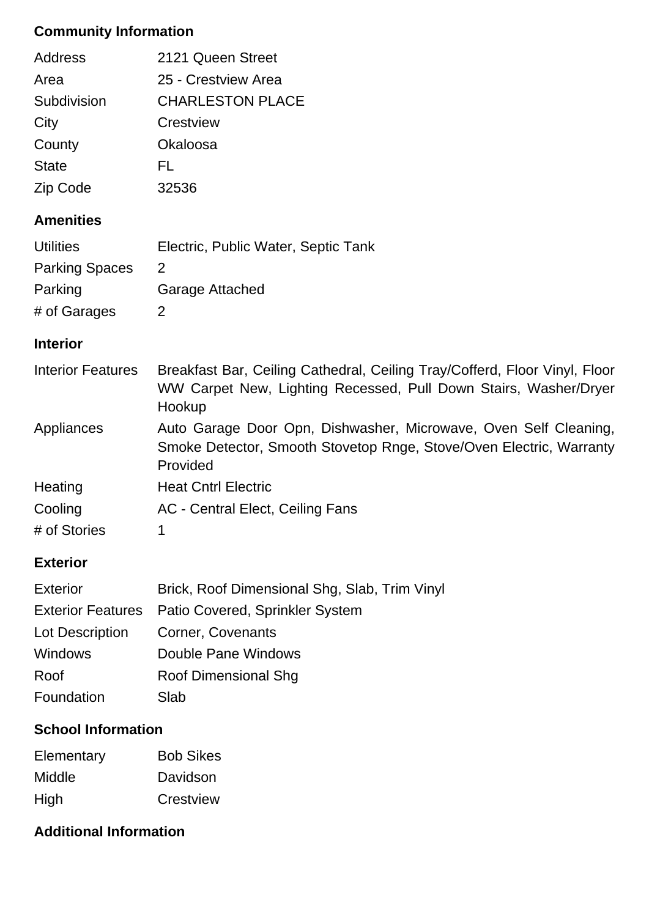# **Community Information**

| Address         | 2121 Queen Street       |
|-----------------|-------------------------|
| Area            | 25 - Crestview Area     |
| Subdivision     | <b>CHARLESTON PLACE</b> |
| City            | Crestview               |
| County          | Okaloosa                |
| <b>State</b>    | FL                      |
| <b>Zip Code</b> | 32536                   |

## **Amenities**

| <b>Utilities</b>      | Electric, Public Water, Septic Tank |
|-----------------------|-------------------------------------|
| <b>Parking Spaces</b> | $\mathcal{L}$                       |
| Parking               | Garage Attached                     |
| # of Garages          | 2                                   |

## **Interior**

| <b>Interior Features</b> | Breakfast Bar, Ceiling Cathedral, Ceiling Tray/Cofferd, Floor Vinyl, Floor<br>WW Carpet New, Lighting Recessed, Pull Down Stairs, Washer/Dryer<br>Hookup |
|--------------------------|----------------------------------------------------------------------------------------------------------------------------------------------------------|
| Appliances               | Auto Garage Door Opn, Dishwasher, Microwave, Oven Self Cleaning,<br>Smoke Detector, Smooth Stovetop Rnge, Stove/Oven Electric, Warranty<br>Provided      |
| Heating                  | <b>Heat Cntrl Electric</b>                                                                                                                               |
| Cooling                  | AC - Central Elect, Ceiling Fans                                                                                                                         |
| # of Stories             |                                                                                                                                                          |

## **Exterior**

| <b>Exterior</b> | Brick, Roof Dimensional Shg, Slab, Trim Vinyl     |
|-----------------|---------------------------------------------------|
|                 | Exterior Features Patio Covered, Sprinkler System |
| Lot Description | Corner, Covenants                                 |
| Windows         | Double Pane Windows                               |
| Roof            | Roof Dimensional Shg                              |
| Foundation      | Slab                                              |

# **School Information**

| Elementary | <b>Bob Sikes</b> |
|------------|------------------|
| Middle     | Davidson         |
| High       | Crestview        |

# **Additional Information**